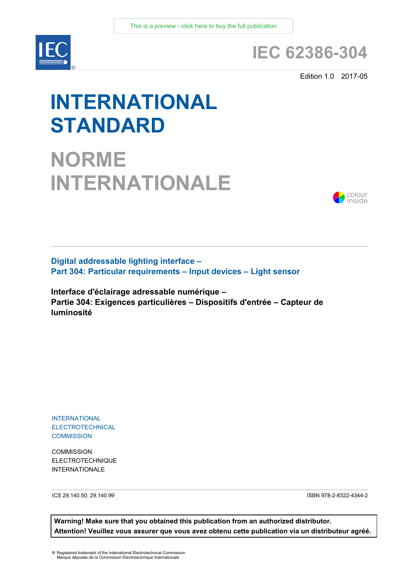

# **IEC 62386-304**

Edition 1.0 2017-05

# **INTERNATIONAL STANDARD**

**NORME INTERNATIONALE**



**Digital addressable lighting interface – Part 304: Particular requirements – Input devices – Light sensor**

**Interface d'éclairage adressable numérique – Partie 304: Exigences particulières – Dispositifs d'entrée – Capteur de luminosité**

INTERNATIONAL **ELECTROTECHNICAL COMMISSION** 

**COMMISSION** ELECTROTECHNIQUE INTERNATIONALE

ICS 29.140.50; 29.140.99 ISBN 978-2-8322-4344-2

**Warning! Make sure that you obtained this publication from an authorized distributor. Attention! Veuillez vous assurer que vous avez obtenu cette publication via un distributeur agréé.**

® Registered trademark of the International Electrotechnical Commission Marque déposée de la Commission Electrotechnique Internationale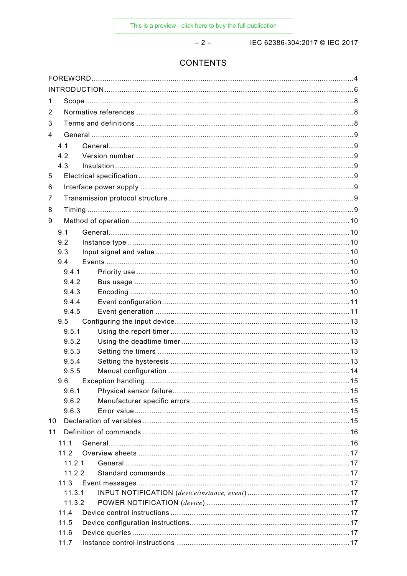$-2-$ 

IEC 62386-304:2017 © IEC 2017

# **CONTENTS**

| 1      |  |
|--------|--|
| 2      |  |
| 3      |  |
| 4      |  |
| 4.1    |  |
| 4.2    |  |
| 4.3    |  |
| 5      |  |
|        |  |
| 6      |  |
| 7      |  |
| 8      |  |
| 9      |  |
| 9.1    |  |
| 9.2    |  |
| 9.3    |  |
| 9.4    |  |
| 9.4.1  |  |
| 9.4.2  |  |
| 9.4.3  |  |
| 9.4.4  |  |
| 9.4.5  |  |
| 9.5    |  |
| 9.5.1  |  |
| 9.5.2  |  |
| 9.5.3  |  |
| 9.5.4  |  |
| 9.5.5  |  |
| 9.6    |  |
| 9.6.1  |  |
| 9.6.2  |  |
| 9.6.3  |  |
| 10     |  |
| 11     |  |
| 11.1   |  |
| 11.2   |  |
| 11.2.1 |  |
| 11.2.2 |  |
| 11.3   |  |
| 11.3.1 |  |
| 11.3.2 |  |
| 11.4   |  |
| 11.5   |  |
| 11.6   |  |
| 11.7   |  |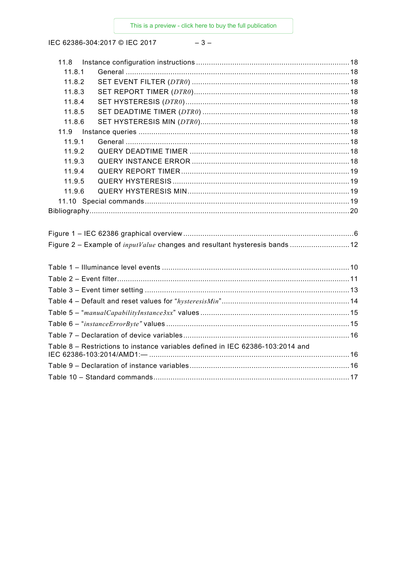IEC 62386-304:2017 © IEC 2017

# $-3-$

| 11.8.1 |                                                                                    |  |
|--------|------------------------------------------------------------------------------------|--|
| 11.8.2 |                                                                                    |  |
| 11.8.3 |                                                                                    |  |
| 11.8.4 |                                                                                    |  |
| 11.8.5 |                                                                                    |  |
| 11.8.6 |                                                                                    |  |
| 11.9   |                                                                                    |  |
| 11.9.1 |                                                                                    |  |
| 11.9.2 |                                                                                    |  |
| 11.9.3 |                                                                                    |  |
| 11.9.4 |                                                                                    |  |
| 11.9.5 |                                                                                    |  |
| 11.9.6 |                                                                                    |  |
|        |                                                                                    |  |
|        |                                                                                    |  |
|        |                                                                                    |  |
|        |                                                                                    |  |
|        | Figure 2 – Example of <i>inputValue</i> changes and resultant hysteresis bands  12 |  |
|        |                                                                                    |  |
|        |                                                                                    |  |
|        |                                                                                    |  |
|        |                                                                                    |  |
|        |                                                                                    |  |
|        |                                                                                    |  |
|        |                                                                                    |  |
|        |                                                                                    |  |
|        | Table 8 - Restrictions to instance variables defined in IEC 62386-103:2014 and     |  |
|        |                                                                                    |  |
|        |                                                                                    |  |
|        |                                                                                    |  |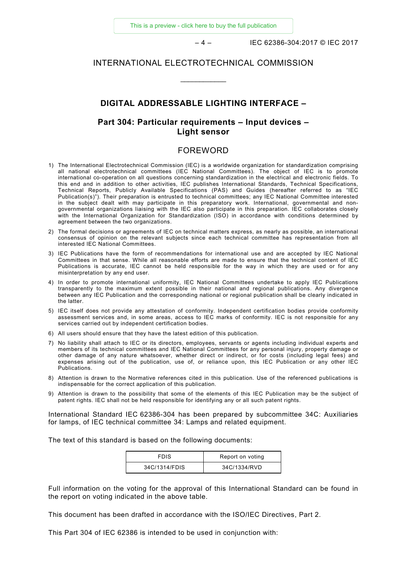[This is a preview - click here to buy the full publication](https://webstore.iec.ch/publication/33647&preview=1)

– 4 – IEC 62386-304:2017 © IEC 2017

#### INTERNATIONAL ELECTROTECHNICAL COMMISSION

\_\_\_\_\_\_\_\_\_\_\_\_

### **DIGITAL ADDRESSABLE LIGHTING INTERFACE –**

#### **Part 304: Particular requirements – Input devices – Light sensor**

#### FOREWORD

- <span id="page-3-0"></span>1) The International Electrotechnical Commission (IEC) is a worldwide organization for standardization comprising all national electrotechnical committees (IEC National Committees). The object of IEC is to promote international co-operation on all questions concerning standardization in the electrical and electronic fields. To this end and in addition to other activities, IEC publishes International Standards, Technical Specifications, Technical Reports, Publicly Available Specifications (PAS) and Guides (hereafter referred to as "IEC Publication(s)"). Their preparation is entrusted to technical committees; any IEC National Committee interested in the subject dealt with may participate in this preparatory work. International, governmental and nongovernmental organizations liaising with the IEC also participate in this preparation. IEC collaborates closely with the International Organization for Standardization (ISO) in accordance with conditions determined by agreement between the two organizations.
- 2) The formal decisions or agreements of IEC on technical matters express, as nearly as possible, an international consensus of opinion on the relevant subjects since each technical committee has representation from all interested IEC National Committees.
- 3) IEC Publications have the form of recommendations for international use and are accepted by IEC National Committees in that sense. While all reasonable efforts are made to ensure that the technical content of IEC Publications is accurate, IEC cannot be held responsible for the way in which they are used or for any misinterpretation by any end user.
- 4) In order to promote international uniformity, IEC National Committees undertake to apply IEC Publications transparently to the maximum extent possible in their national and regional publications. Any divergence between any IEC Publication and the corresponding national or regional publication shall be clearly indicated in the latter.
- 5) IEC itself does not provide any attestation of conformity. Independent certification bodies provide conformity assessment services and, in some areas, access to IEC marks of conformity. IEC is not responsible for any services carried out by independent certification bodies.
- 6) All users should ensure that they have the latest edition of this publication.
- 7) No liability shall attach to IEC or its directors, employees, servants or agents including individual experts and members of its technical committees and IEC National Committees for any personal injury, property damage or other damage of any nature whatsoever, whether direct or indirect, or for costs (including legal fees) and expenses arising out of the publication, use of, or reliance upon, this IEC Publication or any other IEC Publications.
- 8) Attention is drawn to the Normative references cited in this publication. Use of the referenced publications is indispensable for the correct application of this publication.
- 9) Attention is drawn to the possibility that some of the elements of this IEC Publication may be the subject of patent rights. IEC shall not be held responsible for identifying any or all such patent rights.

International Standard IEC 62386-304 has been prepared by subcommittee 34C: Auxiliaries for lamps, of IEC technical committee 34: Lamps and related equipment.

The text of this standard is based on the following documents:

| <b>FDIS</b>   | Report on voting |
|---------------|------------------|
| 34C/1314/FDIS | 34C/1334/RVD     |

Full information on the voting for the approval of this International Standard can be found in the report on voting indicated in the above table.

This document has been drafted in accordance with the ISO/IEC Directives, Part 2.

This Part 304 of IEC 62386 is intended to be used in conjunction with: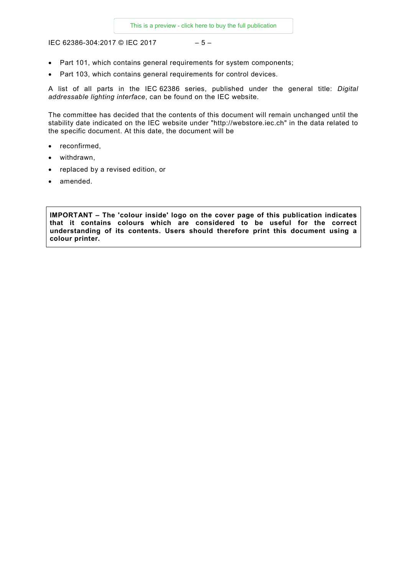IEC 62386-304:2017 © IEC 2017 – 5 –

- Part 101, which contains general requirements for system components;
- Part 103, which contains general requirements for control devices.

A list of all parts in the IEC 62386 series, published under the general title: *Digital addressable lighting interface*, can be found on the IEC website.

The committee has decided that the contents of this document will remain unchanged until the stability date indicated on the IEC website under "http://webstore.iec.ch" in the data related to the specific document. At this date, the document will be

- reconfirmed,
- withdrawn,
- replaced by a revised edition, or
- amended.

**IMPORTANT – The 'colour inside' logo on the cover page of this publication indicates that it contains colours which are considered to be useful for the correct understanding of its contents. Users should therefore print this document using a colour printer.**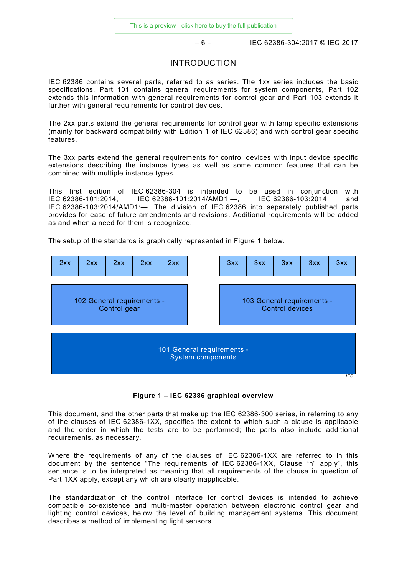– 6 – IEC 62386-304:2017 © IEC 2017

#### INTRODUCTION

<span id="page-5-0"></span>IEC 62386 contains several parts, referred to as series. The 1xx series includes the basic specifications. Part 101 contains general requirements for system components, Part 102 extends this information with general requirements for control gear and Part 103 extends it further with general requirements for control devices.

The 2xx parts extend the general requirements for control gear with lamp specific extensions (mainly for backward compatibility with Edition 1 of IEC 62386) and with control gear specific features.

The 3xx parts extend the general requirements for control devices with input device specific extensions describing the instance types as well as some common features that can be combined with multiple instance types.

This first edition of IEC 62386-304 is intended to be used in conjunction with IEC 62386-101:2014/AMD1:-, IEC 62386-103:2014 and IEC 62386-103:2014/AMD1:—. The division of IEC 62386 into separately published parts provides for ease of future amendments and revisions. Additional requirements will be added as and when a need for them is recognized.

The setup of the standards is graphically represented in [Figure 1](#page-5-1) below.



**Figure 1 – IEC 62386 graphical overview**

<span id="page-5-1"></span>This document, and the other parts that make up the IEC 62386-300 series, in referring to any of the clauses of IEC 62386-1XX, specifies the extent to which such a clause is applicable and the order in which the tests are to be performed; the parts also include additional requirements, as necessary.

Where the requirements of any of the clauses of IEC 62386-1XX are referred to in this document by the sentence "The requirements of IEC 62386-1XX, Clause "n" apply", this sentence is to be interpreted as meaning that all requirements of the clause in question of Part 1XX apply, except any which are clearly inapplicable.

The standardization of the control interface for control devices is intended to achieve compatible co-existence and multi-master operation between electronic control gear and lighting control devices, below the level of building management systems. This document describes a method of implementing light sensors.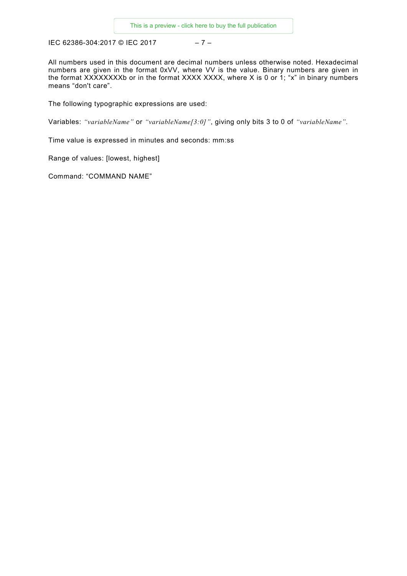IEC 62386-304:2017 © IEC 2017 – 7 –

All numbers used in this document are decimal numbers unless otherwise noted. Hexadecimal numbers are given in the format 0xVV, where VV is the value. Binary numbers are given in the format XXXXXXXXb or in the format XXXX XXXX, where X is 0 or 1; "x" in binary numbers means "don't care".

The following typographic expressions are used:

Variables: *"variableName"* or *"variableName[3:0]"*, giving only bits 3 to 0 of *"variableName"*.

Time value is expressed in minutes and seconds: mm:ss

Range of values: [lowest, highest]

Command: "COMMAND NAME"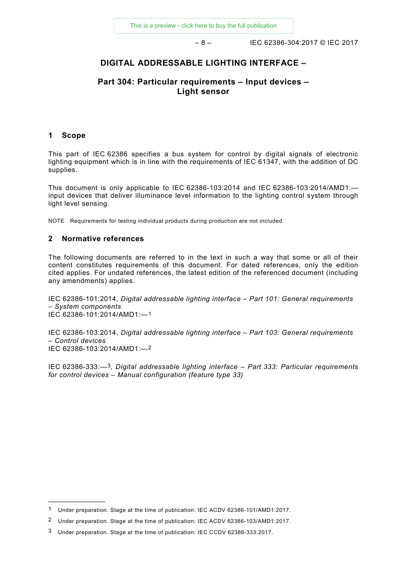– 8 – IEC 62386-304:2017 © IEC 2017

# **DIGITAL ADDRESSABLE LIGHTING INTERFACE –**

#### **Part 304: Particular requirements – Input devices – Light sensor**

#### <span id="page-7-0"></span>**1 Scope**

This part of IEC 62386 specifies a bus system for control by digital signals of electronic lighting equipment which is in line with the requirements of IEC 61347, with the addition of DC supplies.

This document is only applicable to IEC 62386-103:2014 and IEC 62386-103:2014/AMD1: input devices that deliver illuminance level information to the lighting control system through light level sensing.

NOTE Requirements for testing individual products during production are not included.

#### <span id="page-7-1"></span>**2 Normative references**

\_\_\_\_\_\_\_\_\_\_\_\_\_\_\_

The following documents are referred to in the text in such a way that some or all of their content constitutes requirements of this document. For dated references, only the edition cited applies. For undated references, the latest edition of the referenced document (including any amendments) applies.

IEC 62386-101:2014, *Digital addressable lighting interface – Part 101: General requirements – System components*  IEC 62386-101:2014/AMD1:—[1](#page-7-3)

IEC 62386-103:2014, *Digital addressable lighting interface – Part 103: General requirements – Control devices* IEC 62386-103:2014/AMD1:—[2](#page-7-4)

<span id="page-7-2"></span>IEC 62386-333:—[3,](#page-7-5) *Digital addressable lighting interface – Part 333: Particular requirements for control devices – Manual configuration (feature type 33)*

<span id="page-7-3"></span><sup>1</sup> Under preparation. Stage at the time of publication: IEC ACDV 62386-101/AMD1:2017.

<span id="page-7-4"></span><sup>2</sup> Under preparation. Stage at the time of publication: IEC ACDV 62386-103/AMD1:2017.

<span id="page-7-5"></span><sup>3</sup> Under preparation. Stage at the time of publication: IEC CCDV 62386-333:2017.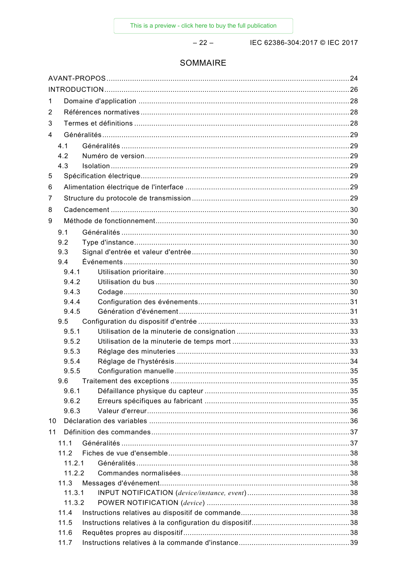$-22-$ 

IEC 62386-304:2017 © IEC 2017

# SOMMAIRE

| 1  |        |  |
|----|--------|--|
| 2  |        |  |
| 3  |        |  |
| 4  |        |  |
|    | 4.1    |  |
|    | 4.2    |  |
|    | 4.3    |  |
| 5  |        |  |
| 6  |        |  |
|    |        |  |
| 7  |        |  |
| 8  |        |  |
| 9  |        |  |
|    | 9.1    |  |
|    | 9.2    |  |
|    | 9.3    |  |
|    | 9.4    |  |
|    | 9.4.1  |  |
|    | 9.4.2  |  |
|    | 9.4.3  |  |
|    | 9.4.4  |  |
|    | 9.4.5  |  |
|    | 9.5    |  |
|    | 9.5.1  |  |
|    | 9.5.2  |  |
|    | 9.5.3  |  |
|    | 9.5.4  |  |
|    | 9.5.5  |  |
|    | 9.6    |  |
|    | 9.6.1  |  |
|    | 9.6.2  |  |
|    | 9.6.3  |  |
| 10 |        |  |
| 11 |        |  |
|    | 11.1   |  |
|    | 11.2   |  |
|    | 11.2.1 |  |
|    | 11.2.2 |  |
|    | 11.3   |  |
|    | 11.3.1 |  |
|    | 11.3.2 |  |
|    | 11.4   |  |
|    | 11.5   |  |
|    | 11.6   |  |
|    | 11.7   |  |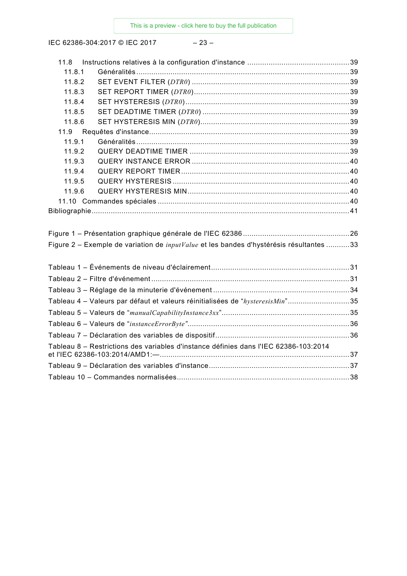IEC 62386-304:2017 © IEC 2017 - 23 -

| 11.8                                                                                           |  |
|------------------------------------------------------------------------------------------------|--|
| 11.8.1                                                                                         |  |
| 11.8.2                                                                                         |  |
| 11.8.3                                                                                         |  |
| 11.8.4                                                                                         |  |
| 11.8.5                                                                                         |  |
| 11.8.6                                                                                         |  |
| 11.9                                                                                           |  |
| 11.9.1                                                                                         |  |
| 11.9.2                                                                                         |  |
| 11.9.3                                                                                         |  |
| 11.9.4                                                                                         |  |
| 11.9.5                                                                                         |  |
| 11.9.6                                                                                         |  |
|                                                                                                |  |
|                                                                                                |  |
|                                                                                                |  |
|                                                                                                |  |
| Figure 2 - Exemple de variation de <i>inputValue</i> et les bandes d'hystérésis résultantes 33 |  |
|                                                                                                |  |
|                                                                                                |  |
|                                                                                                |  |
|                                                                                                |  |
| Tableau 4 - Valeurs par défaut et valeurs réinitialisées de "hysteresisMin"35                  |  |
|                                                                                                |  |
|                                                                                                |  |
|                                                                                                |  |
| Tableau 8 - Restrictions des variables d'instance définies dans l'IEC 62386-103:2014           |  |
|                                                                                                |  |
|                                                                                                |  |
|                                                                                                |  |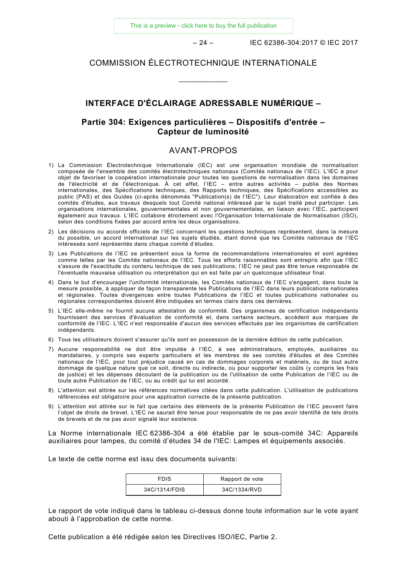[This is a preview - click here to buy the full publication](https://webstore.iec.ch/publication/33647&preview=1)

– 24 – IEC 62386-304:2017 © IEC 2017

#### COMMISSION ÉLECTROTECHNIQUE INTERNATIONALE

\_\_\_\_\_\_\_\_\_\_\_\_

# **INTERFACE D'ÉCLAIRAGE ADRESSABLE NUMÉRIQUE –**

#### **Partie 304: Exigences particulières – Dispositifs d'entrée – Capteur de luminosité**

#### AVANT-PROPOS

- <span id="page-10-0"></span>1) La Commission Électrotechnique Internationale (IEC) est une organisation mondiale de normalisation composée de l'ensemble des comités électrotechniques nationaux (Comités nationaux de l'IEC). L'IEC a pour objet de favoriser la coopération internationale pour toutes les questions de normalisation dans les domaines de l'électricité et de l'électronique. À cet effet, l'IEC – entre autres activités – publie des Normes internationales, des Spécifications techniques, des Rapports techniques, des Spécifications accessibles au public (PAS) et des Guides (ci-après dénommés "Publication(s) de l'IEC"). Leur élaboration est confiée à des comités d'études, aux travaux desquels tout Comité national intéressé par le sujet traité peut participer. Les organisations internationales, gouvernementales et non gouvernementales, en liaison avec l'IEC, participent également aux travaux. L'IEC collabore étroitement avec l'Organisation Internationale de Normalisation (ISO), selon des conditions fixées par accord entre les deux organisations.
- 2) Les décisions ou accords officiels de l'IEC concernant les questions techniques représentent, dans la mesure du possible, un accord international sur les sujets étudiés, étant donné que les Comités nationaux de l'IEC intéressés sont représentés dans chaque comité d'études.
- 3) Les Publications de l'IEC se présentent sous la forme de recommandations internationales et sont agréées comme telles par les Comités nationaux de l'IEC. Tous les efforts raisonnables sont entrepris afin que l'IEC s'assure de l'exactitude du contenu technique de ses publications; l'IEC ne peut pas être tenue responsable de l'éventuelle mauvaise utilisation ou interprétation qui en est faite par un quelconque utilisateur final.
- 4) Dans le but d'encourager l'uniformité internationale, les Comités nationaux de l'IEC s'engagent, dans toute la mesure possible, à appliquer de façon transparente les Publications de l'IEC dans leurs publications nationales et régionales. Toutes divergences entre toutes Publications de l'IEC et toutes publications nationales ou régionales correspondantes doivent être indiquées en termes clairs dans ces dernières.
- 5) L'IEC elle-même ne fournit aucune attestation de conformité. Des organismes de certification indépendants fournissent des services d'évaluation de conformité et, dans certains secteurs, accèdent aux marques de conformité de l'IEC. L'IEC n'est responsable d'aucun des services effectués par les organismes de certification indépendants.
- 6) Tous les utilisateurs doivent s'assurer qu'ils sont en possession de la dernière édition de cette publication.
- 7) Aucune responsabilité ne doit être imputée à l'IEC, à ses administrateurs, employés, auxiliaires ou mandataires, y compris ses experts particuliers et les membres de ses comités d'études et des Comités nationaux de l'IEC, pour tout préjudice causé en cas de dommages corporels et matériels, ou de tout autre dommage de quelque nature que ce soit, directe ou indirecte, ou pour supporter les coûts (y compris les frais de justice) et les dépenses découlant de la publication ou de l'utilisation de cette Publication de l'IEC ou de toute autre Publication de l'IEC, ou au crédit qui lui est accordé.
- 8) L'attention est attirée sur les références normatives citées dans cette publication. L'utilisation de publications référencées est obligatoire pour une application correcte de la présente publication.
- 9) L'attention est attirée sur le fait que certains des éléments de la présente Publication de l'IEC peuvent faire l'objet de droits de brevet. L'IEC ne saurait être tenue pour responsable de ne pas avoir identifié de tels droits de brevets et de ne pas avoir signalé leur existence.

La Norme internationale IEC 62386-304 a été établie par le sous-comité 34C: Appareils auxiliaires pour lampes, du comité d'études 34 de l'IEC: Lampes et équipements associés.

Le texte de cette norme est issu des documents suivants:

| <b>FDIS</b>   | Rapport de vote |
|---------------|-----------------|
| 34C/1314/FDIS | 34C/1334/RVD    |

Le rapport de vote indiqué dans le tableau ci-dessus donne toute information sur le vote ayant abouti à l'approbation de cette norme.

Cette publication a été rédigée selon les Directives ISO/IEC, Partie 2.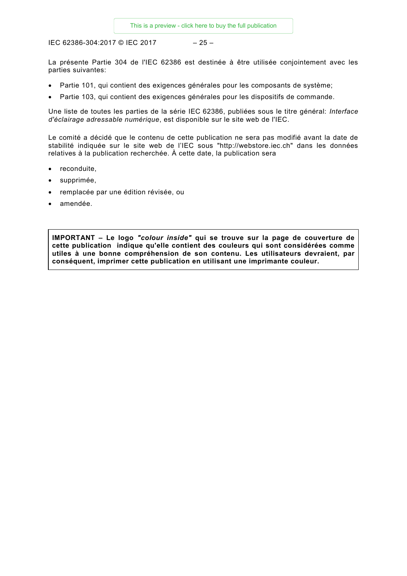IEC 62386-304:2017 © IEC 2017 – 25 –

La présente Partie 304 de l'IEC 62386 est destinée à être utilisée conjointement avec les parties suivantes:

- Partie 101, qui contient des exigences générales pour les composants de système;
- Partie 103, qui contient des exigences générales pour les dispositifs de commande.

Une liste de toutes les parties de la série IEC 62386, publiées sous le titre général: *Interface d'éclairage adressable numérique*, est disponible sur le site web de l'IEC.

Le comité a décidé que le contenu de cette publication ne sera pas modifié avant la date de stabilité indiquée sur le site web de l'IEC sous "http://webstore.iec.ch" dans les données relatives à la publication recherchée. À cette date, la publication sera

- reconduite,
- supprimée,
- remplacée par une édition révisée, ou
- amendée.

**IMPORTANT – Le logo** *"colour inside"* **qui se trouve sur la page de couverture de cette publication indique qu'elle contient des couleurs qui sont considérées comme utiles à une bonne compréhension de son contenu. Les utilisateurs devraient, par conséquent, imprimer cette publication en utilisant une imprimante couleur.**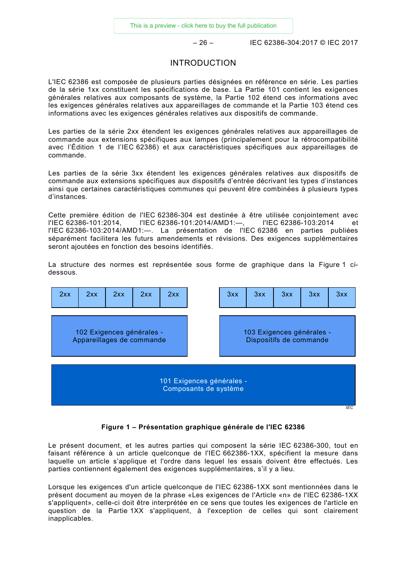$-26 -$  IEC 62386-304:2017 © IEC 2017

#### INTRODUCTION

<span id="page-12-0"></span>L'IEC 62386 est composée de plusieurs parties désignées en référence en série. Les parties de la série 1xx constituent les spécifications de base. La Partie 101 contient les exigences générales relatives aux composants de système, la Partie 102 étend ces informations avec les exigences générales relatives aux appareillages de commande et la Partie 103 étend ces informations avec les exigences générales relatives aux dispositifs de commande.

Les parties de la série 2xx étendent les exigences générales relatives aux appareillages de commande aux extensions spécifiques aux lampes (principalement pour la rétrocompatibilité avec l'Édition 1 de l'IEC 62386) et aux caractéristiques spécifiques aux appareillages de commande.

Les parties de la série 3xx étendent les exigences générales relatives aux dispositifs de commande aux extensions spécifiques aux dispositifs d'entrée décrivant les types d'instances ainsi que certaines caractéristiques communes qui peuvent être combinées à plusieurs types d'instances.

Cette première édition de l'IEC 62386-304 est destinée à être utilisée conjointement avec l'IEC 62386-101:2014, l'IEC 62386-101:2014/AMD1:—, l'IEC 62386-103:2014 et l'IEC 62386-103:2014/AMD1:—. La présentation de l'IEC 62386 en parties publiées séparément facilitera les futurs amendements et révisions. Des exigences supplémentaires seront ajoutées en fonction des besoins identifiés.

La structure des normes est représentée sous forme de graphique dans la [Figure 1](#page-12-1) cidessous.



**Figure 1 – Présentation graphique générale de l'IEC 62386**

<span id="page-12-1"></span>Le présent document, et les autres parties qui composent la série IEC 62386-300, tout en faisant référence à un article quelconque de l'IEC 662386-1XX, spécifient la mesure dans laquelle un article s'applique et l'ordre dans lequel les essais doivent être effectués. Les parties contiennent également des exigences supplémentaires, s'il y a lieu.

Lorsque les exigences d'un article quelconque de l'IEC 62386-1XX sont mentionnées dans le présent document au moyen de la phrase «Les exigences de l'Article «n» de l'IEC 62386-1XX s'appliquent», celle-ci doit être interprétée en ce sens que toutes les exigences de l'article en question de la Partie 1XX s'appliquent, à l'exception de celles qui sont clairement inapplicables.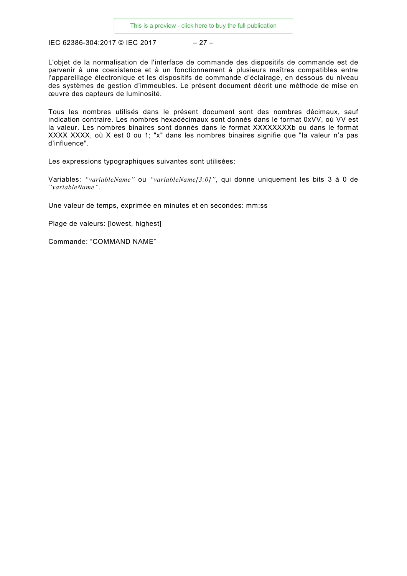IEC 62386-304:2017 © IEC 2017 – 27 –

L'objet de la normalisation de l'interface de commande des dispositifs de commande est de parvenir à une coexistence et à un fonctionnement à plusieurs maîtres compatibles entre l'appareillage électronique et les dispositifs de commande d'éclairage, en dessous du niveau des systèmes de gestion d'immeubles. Le présent document décrit une méthode de mise en œuvre des capteurs de luminosité.

Tous les nombres utilisés dans le présent document sont des nombres décimaux, sauf indication contraire. Les nombres hexadécimaux sont donnés dans le format 0xVV, où VV est la valeur. Les nombres binaires sont donnés dans le format XXXXXXXXb ou dans le format XXXX XXXX, où X est 0 ou 1; "x" dans les nombres binaires signifie que "la valeur n'a pas d'influence".

Les expressions typographiques suivantes sont utilisées:

Variables: *"variableName"* ou *"variableName[3:0]"*, qui donne uniquement les bits 3 à 0 de *"variableName"*.

Une valeur de temps, exprimée en minutes et en secondes: mm:ss

Plage de valeurs: [lowest, highest]

Commande: "COMMAND NAME"